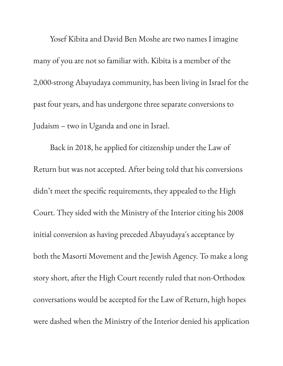Yosef Kibita and David Ben Moshe are two names I imagine many of you are not so familiar with. Kibita is a member of the 2,000-strong Abayudaya community, has been living in Israel for the past four years, and has undergone three separate conversions to Judaism – two in Uganda and one in Israel.

Back in 2018, he applied for citizenship under the Law of Return but was not accepted. After being told that his conversions didn't meet the specific requirements, they appealed to the High Court. They sided with the Ministry of the Interior citing his 2008 initial conversion as having preceded Abayudaya's acceptance by both the Masorti Movement and the Jewish Agency. To make a long story short, after the High Court recently ruled that non-Orthodox conversations would be accepted for the Law of Return, high hopes were dashed when the Ministry of the Interior denied his application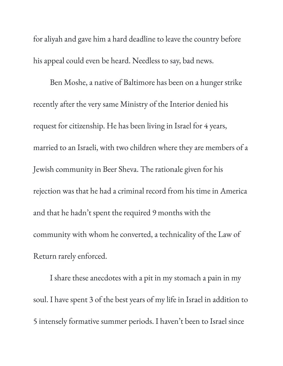for aliyah and gave him a hard deadline to leave the country before his appeal could even be heard. Needless to say, bad news.

Ben Moshe, a native of Baltimore has been on a hunger strike recently after the very same Ministry of the Interior denied his request for citizenship. He has been living in Israel for 4 years, married to an Israeli, with two children where they are members of a Jewish community in Beer Sheva. The rationale given for his rejection was that he had a criminal record from his time in America and that he hadn't spent the required 9 months with the community with whom he converted, a technicality of the Law of Return rarely enforced.

I share these anecdotes with a pit in my stomach a pain in my soul. I have spent 3 of the best years of my life in Israel in addition to 5 intensely formative summer periods. I haven't been to Israel since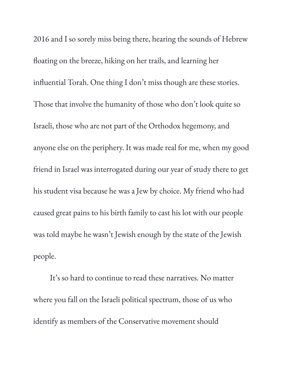2016 and I so sorely miss being there, hearing the sounds of Hebrew floating on the breeze, hiking on her trails, and learning her influential Torah. One thing I don't miss though are these stories. Those that involve the humanity of those who don't look quite so Israeli, those who are not part of the Orthodox hegemony, and anyone else on the periphery. It was made real for me, when my good friend in Israel was interrogated during our year of study there to get his student visa because he was a Jew by choice. My friend who had caused great pains to his birth family to cast his lot with our people was told maybe he wasn't Jewish enough by the state of the Jewish people.

It' s so hard to continue to read these narratives. No matter where you fall on the Israeli political spectrum, those of us who identify as members of the Conservative movement should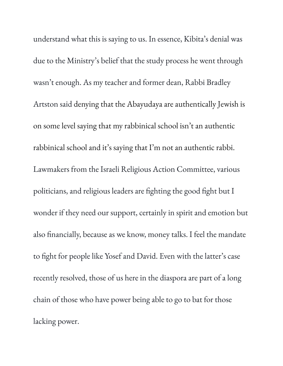understand what this is saying to us. In essence, Kibita ' s denial was due to the Ministry ' s belief that the study process he went through wasn't enough. As my teacher and former dean, Rabbi Bradley Artston said denying that the Abayudaya are authentically Jewish is on some level saying that my rabbinical school isn't an authentic rabbinical school and it' s saying that I'm not an authentic rabbi. Lawmakers from the Israeli Religious Action Committee, various politicians, and religious leaders are fighting the good fight but I wonder if they need our support, certainly in spirit and emotion but also financially, because as we know, money talks. I feel the mandate to fight for people like Yosef and David. Even with the latter' s case recently resolved, those of us here in the diaspora are part of a long chain of those who have power being able to go to bat for those lacking power.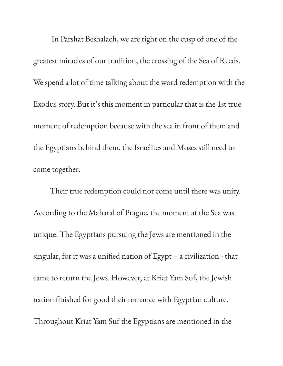In Parshat Beshalach, we are right on the cusp of one of the greatest miracles of our tradition, the crossing of the Sea of Reeds. We spend a lot of time talking about the word redemption with the Exodus story. But it's this moment in particular that is the 1st true moment of redemption because with the sea in front of them and the Egyptians behind them, the Israelites and Moses still need to come together.

Their true redemption could not come until there was unity. According to the Maharal of Prague, the moment at the Sea was unique. The Egyptians pursuing the Jews are mentioned in the singular, for it was a unified nation of Egypt – a civilization - that came to return the Jews. However, at Kriat Yam Suf, the Jewish nation finished for good their romance with Egyptian culture. Throughout Kriat Yam Suf the Egyptians are mentioned in the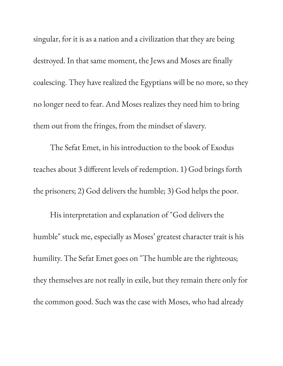singular, for it is as a nation and a civilization that they are being destroyed. In that same moment, the Jews and Moses are finally coalescing. They have realized the Egyptians will be no more, so they no longer need to fear. And Moses realizes they need him to bring them out from the fringes, from the mindset of slavery.

The Sefat Emet, in his introduction to the book of Exodus teaches about 3 different levels of redemption. 1) God brings forth the prisoners; 2) God delivers the humble; 3) God helps the poor.

His interpretation and explanation of "God delivers the humble" stuck me, especially as Moses ' greatest character trait is his humility. The Sefat Emet goes on "The humble are the righteous; they themselves are not really in exile, but they remain there only for the common good. Such was the case with Moses, who had already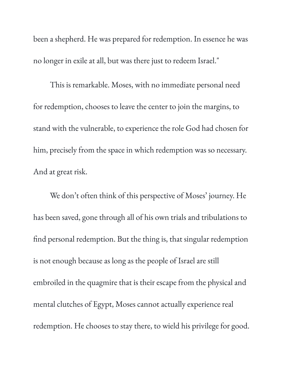been a shepherd. He was prepared for redemption. In essence he was no longer in exile at all, but was there just to redeem Israel."

This is remarkable. Moses, with no immediate personal need for redemption, chooses to leave the center to join the margins, to stand with the vulnerable, to experience the role God had chosen for him, precisely from the space in which redemption was so necessary. And at great risk.

We don't often think of this perspective of Moses ' journey. He has been saved, gone through all of his own trials and tribulations to find personal redemption. But the thing is, that singular redemption is not enough because as long as the people of Israel are still embroiled in the quagmire that is their escape from the physical and mental clutches of Egypt, Moses cannot actually experience real redemption. He chooses to stay there, to wield his privilege for good.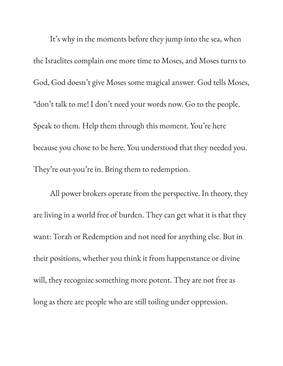It' s why in the moments before they jump into the sea, when the Israelites complain one more time to Moses, and Moses turns to God, God doesn't give Moses some magical answer. God tells Moses, "don't talk to me! I don't need your words now. Go to the people. Speak to them. Help them through this moment. You 're here because you chose to be here. You understood that they needed you. They're out-you're in. Bring them to redemption.

All power brokers operate from the perspective. In theory, they are living in a world free of burden. They can get what it is that they want: Torah or Redemption and not need for anything else. But in their positions, whether you think it from happenstance or divine will, they recognize something more potent. They are not free as long as there are people who are still toiling under oppression.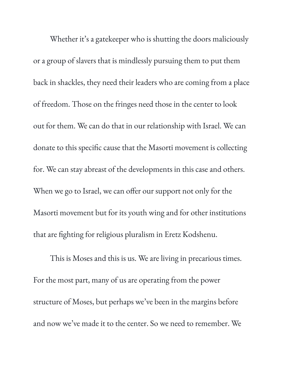Whether it' s a gatekeeper who is shutting the doors maliciously or a group of slavers that is mindlessly pursuing them to put them back in shackles, they need their leaders who are coming from a place of freedom. Those on the fringes need those in the center to look out for them. We can do that in our relationship with Israel. We can donate to this specific cause that the Masorti movement is collecting for. We can stay abreast of the developments in this case and others. When we go to Israel, we can offer our support not only for the Masorti movement but for its youth wing and for other institutions that are fighting for religious pluralism in Eretz Kodshenu.

This is Moses and this is us. We are living in precarious times. For the most part, many of us are operating from the power structure of Moses, but perhaps we ' ve been in the margins before and now we ' ve made it to the center. So we need to remember. We